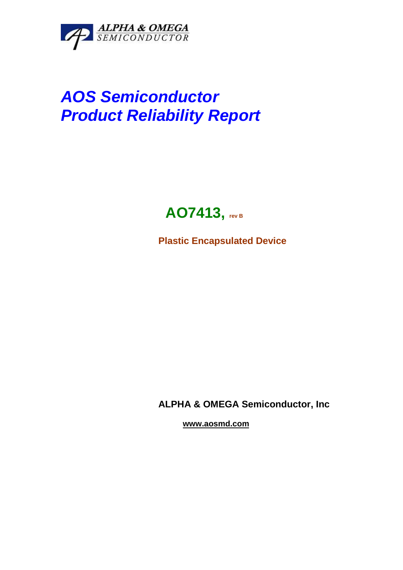

# **AOS Semiconductor Product Reliability Report**

# **AO7413, rev B**

**Plastic Encapsulated Device** 

**ALPHA & OMEGA Semiconductor, Inc** 

 **www.aosmd.com**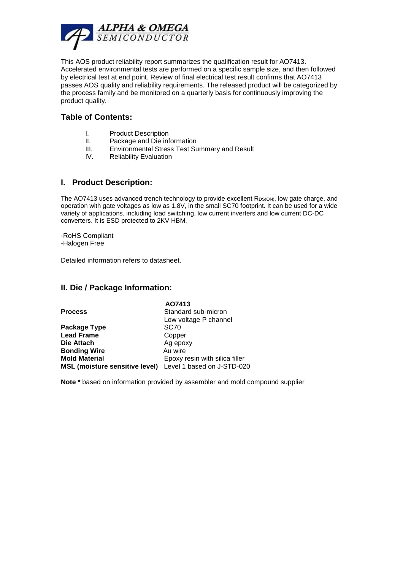

This AOS product reliability report summarizes the qualification result for AO7413. Accelerated environmental tests are performed on a specific sample size, and then followed by electrical test at end point. Review of final electrical test result confirms that AO7413 passes AOS quality and reliability requirements. The released product will be categorized by the process family and be monitored on a quarterly basis for continuously improving the product quality.

#### **Table of Contents:**

- I. Product Description
- II. Package and Die information
- III. Environmental Stress Test Summary and Result
- IV. Reliability Evaluation

#### **I. Product Description:**

The AO7413 uses advanced trench technology to provide excellent RDS(ON), low gate charge, and operation with gate voltages as low as 1.8V, in the small SC70 footprint. It can be used for a wide variety of applications, including load switching, low current inverters and low current DC-DC converters. It is ESD protected to 2KV HBM.

-RoHS Compliant -Halogen Free

Detailed information refers to datasheet.

## **II. Die / Package Information:**

|                                                           | AO7413                         |
|-----------------------------------------------------------|--------------------------------|
| <b>Process</b>                                            | Standard sub-micron            |
|                                                           | Low voltage P channel          |
| Package Type                                              | SC <sub>70</sub>               |
| <b>Lead Frame</b>                                         | Copper                         |
| Die Attach                                                | Ag epoxy                       |
| <b>Bonding Wire</b>                                       | Au wire                        |
| <b>Mold Material</b>                                      | Epoxy resin with silica filler |
| MSL (moisture sensitive level) Level 1 based on J-STD-020 |                                |

**Note \*** based on information provided by assembler and mold compound supplier